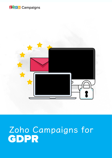



# Zoho Campaigns for<br>GDPR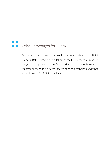## **THE Zoho Campaigns for GDPR**

As an email marketer, you would be aware about the GDPR (General Data Protection Regulation) of the EU (European Union) to safeguard the personal data of EU residents. In this handbook, we'll walk you through the different facets of Zoho Campaigns and what it has in store for GDPR compliance.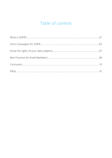## Table of content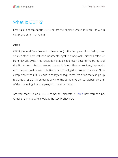## <span id="page-3-0"></span>What is GDPR?

Let's take a recap about GDPR before we explore what's in store for GDPR compliant email marketing.

#### GDPR

GDPR (General Data Protection Regulation) is the European Union's (EU) most awaited step to protect the fundamental right to privacy of EU citizens, effective from May 25, 2018. This regulation is applicable even beyond the borders of the EU. Any organization around the world (even US/other regions) that works with the personal data of EU citizens is now obliged to protect that data. Noncompliance with GDPR leads to costly consequences. It's a fine that can go up to as much as 20 million euros or 4% of the company's annual global turnover of the preceding financial year, whichever is higher.

Are you ready to be a GDPR compliant marketer? [Here's](https://www.zoho.com/campaigns/gdpr.html) how you can be. Check the link to take a look at the GDPR Checklist.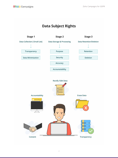### **Data Subject Rights**

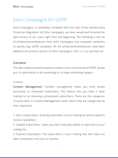## <span id="page-5-0"></span>Zoho Campaigns for GDPR

Zoho Campaigns, is completely compliant with the rules of the General Data Protection Regulation. At Zoho Campaigns, we have valued and honored the data privacy of our users right from the beginning. The following is the list of enhancements/features from Zoho Campaigns that empower marketers to quickly stay GDPR compliant. All the enhancements/features have been added to the present version of Zoho Campaigns. Click [here](https://www.zoho.com/campaigns/) to use them all.

#### **Consent**

The data subjects (email recipient) consent is the cornerstone of GDPR. Simply put, it's permission to do something or to make something happen.

In store:

Consent Management- Consent management helps you send emails exclusively to interested subscribers. This feature lets you have a clean mailing list by removing uninterested subscribers. There are five categories of subscribers in Consent Management under which they are categorized by their responses.

1. Opt-in Subscribers- Existing subscribers in your mailing list who've opted to receive newsletters.

2. Implied Subscribers- Users you have manually added or imported to your mailing list.

3. Expired Subscribers- The subscribers in your mailing lists who have not been contacted in the last six months.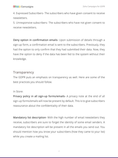#### **ZOHO** Campaigns

4. Expressed Subscribers- The subscribers who have given consent to receive newsletters.

5. Unresponsive subscribers- The subscribers who have not given consent to receive newsletters.

Deny option in confirmation emails- Upon submission of details through a sign-up form, a confirmation email is sent to the subscribers. Previously, they had the option to only confirm that they had submitted their data. Now, they have the option to deny if the data has been fed to the system without their knowledge.

#### **Transparency**

The GDPR puts an emphasis on transparency as well. Here are some of the best practices you should follow.

#### In Store:

Privacy policy in all sign-up forms/emails- A privacy note at the end of all sign-up forms/emails will now be present by default. This is to give subscribers reassurance about the confidentiality of their data.

Mandatory list description- With the high number of email newsletters they receive, subscribers are sure to forget the identity of some email senders. A mandatory list description will be present in all the emails you send out. You should mention how you know your subscribers (how they came to your list) while you create a mailing list.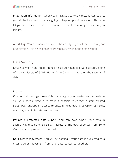Integration Information- When you integrate a service with Zoho Campaigns, you will be informed on what's going to happen post-integration . This is to let you have a clearer picture on what to expect from integrations that you initiate.

**Audit Log-** You can view and export the activity log of all the users of your organization. This helps enhance transparency within the organization.

#### Data Security

Data in any form and shape should be securely handled. Data security is one of the vital facets of GDPR. Here's Zoho Campaigns' take on the security of data.

#### In Store:

Custom field encryption-In Zoho Campaigns, you create custom fields to suit your needs. We've even made it possible to encrypt custom created fields. Post encryption, access to custom fields data is severely restricted, ensuring that it is safe and secure.

Password protected data export- You can now export your data in such a way that no one else can access it. The data exported from Zoho Campaigns is password protected.

Data center movement- You will be notified if your data is subjected to a cross border movement from one data center to another.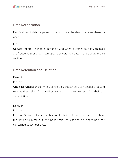#### <span id="page-8-0"></span>Data Rectification

Rectification of data helps subscribers update the data whenever there's a need.

In Store:

Update Profile- Change is inevitable and when it comes to data, changes are frequent. Subscribers can update or edit their data in the Update Profile section.

#### Data Retention and Deletion

#### Retention

In Store:

One-click Unsubscribe- With a single click, subscribers can unsubscribe and remove themselves from mailing lists without having to reconfirm their unsubscription.

#### **Deletion**

In Store:

Erasure Options- If a subscriber wants their data to be erased, they have the option to remove it. We honor this request and no longer hold the concerned subscriber data.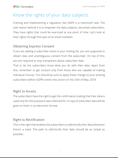## Know the rights of your data subjects

Framing and implementing a regulation like GDPR is a mammoth task. The sole reason behind it is to empower the data subjects, aka email subscribers. They have rights that could be exercised at any point of time. Let's look at their rights through the eyes of an email marketer.

#### Obtaining Express Consent

If you are adding a subscriber email to your mailing list, you are supposed to obtain clear and unambiguous consent from the subscriber. On top of this, you are required to stay transparent about subscriber data.

That is, let the subscribers know what you do with their data. Apart from this, remember to get consent only from those who are capable of making individual choices. You should be sure to apply these change to your existing subscribers before GDPR comes into action on the 25th of May, 2018.

#### Right to Access

The subscribers have the right to get the confirmation stating that their data is used only for the purpose it was collected for. A copy of subscriber data will be given to them in an electronic format.

#### Right to Rectification

This is the right that enables the subscribers to edit/rectify their data whenever there's a need. The path to edit/rectify their data should be as simple as possible.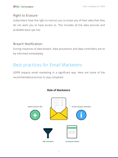#### <span id="page-10-0"></span>Right to Erasure

Subscribers have the right to instruct you to erase any of their data that they do not want you to have access to. This includes all the data sources and probable back-ups too.

#### Breach Notification

During instances of data breach, data processors and data controllers are to be informed immediately.

## Best practices for Email Marketers

GDPR impacts email marketing in a significant way. Here are some of the recommended practices to stay compliant.



#### **Role of Marketers**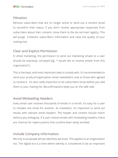#### **Filtration**

Remove subscribers that are no longer active or send out a consent email to reconfirm their status. If you don't receive appropriate responses from subscribers about their consent, move them to the do-not-mail registry. This will purge irrelevant subscribers' information and raise the quality of your mailing lists.

#### Clear and Explicit Permission

In email marketing, the permission to send out marketing emails to a user should be expressly conveyed (Eg. "I would like to receive emails from this organization").

This is the basic and most important step to comply with. It's recommended to send your product/organization email newsletters only to those who agreed to receive it. It's also really important to let subscribers know before you add them to your mailing list. Reconfirmations keep you on the safe side.

#### Avoid Misleading Headers

Every email user receives thousands of emails in a month. It's easy for a user to mistake one email for another. As marketers, it's important to send out emails with relevant email headers. The header and content should match without any ambiguity. If a user notices emails with misleading headers, there are chances for repercussions that could've been easily avoided.

#### Include Company Information

We only trust people whose identities we know. This applies to an organization too. The digital era is a time where identity is considered to be an important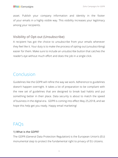<span id="page-12-0"></span>asset. Publish your company information and identity in the footer of your emails in a highly visible way. This visibility increases your legitimacy among your recipients.

#### Visibility of Opt-out (Unsubscribe)

A recipient has got the choice to unsubscribe from your emails whenever they feel like it. Your duty is to make the process of opting-out (unsubscribing) easier for them. Make sure to include an unsubscribe button that catches the reader's eye without much effort and does the job in a single click.

## Conclusion

Guidelines like the GDPR will refine the way we work. Adherence to guidelines doesn't happen overnight. It takes a lot of preparation to be compliant with the new set of guidelines that are designed to break bad habits and put something better in their place. Data security is about to match the speed of business in the digital era. GDPR is coming into effect May 25,2018, and we hope this help get you ready. Happy email marketing!

## FAQs

#### 1) What is the GDPR?

The GDPR (General Data Protection Regulation) is the European Union's (EU) monumental step to protect the fundamental right to privacy of EU citizens.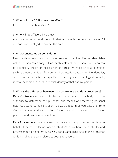#### 2) When will the GDPR come into effect?

It is effective from May 25, 2018.

#### 3) Who will be affected by GDPR?

Any organization around the world that works with the personal data of EU citizens is now obliged to protect the data.

#### 4) What constitutes personal data?

Personal data means any information relating to an identified or identifiable natural person ('data subject'); an identifiable natural person is one who can be identified, directly or indirectly, in particular by reference to an identifier such as a name, an identification number, location data, an online identifier, or to one or more factors specific to the physical, physiological, genetic, mental, economic, cultural, or social identity of that natural person.

#### 5) What's the difference between data controllers and data processors?

Data Controller- A data controller can be a person or a body with the authority to determine the purposes and means of processing personal data. As a Zoho Campaigns user, you would feed in all you data and Zoho Campaigns acts as the controller of your data. Your data consists of your personal and business information.

Data Processor- A data processor is the entity that processes the data on behalf of the controller or under controller's instruction. The controller and processor can be one entity as well. Zoho Campaigns acts as the processor while handling the data related to your subscribers.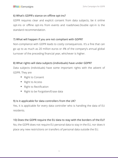#### 6) What's GDPR's stance on offline opt-ins?

GDPR requires clear and explicit consent from data subjects, be it online opt-ins or offline opt-ins from events and roadshows.Double opt-in is the standard recommendation.

#### 7) What will happen if you are not compliant with GDPR?

Non-compliance with GDPR leads to costly consequences. It's a fine that can go up to as much as 20 million euros or 4% of the company's annual global turnover of the preceding financial year, whichever is higher.

#### 8) What rights will data subjects (individuals) have under GDPR?

Data subjects (individuals) have some important rights with the advent of GDPR. They are

- Right to Consent
- Right to Access
- Right to Rectification
- Right to be Forgotten/Erase data

#### 9) Is it applicable for data controllers from the UK?

Yes, it is applicable for every data controller who is handling the data of EU residents.

#### 10) Does the GDPR require the EU data to stay with the borders of the EU?

No, the GDPR does not require EU personal data to stay in the EU, nor does it place any new restrictions on transfers of personal data outside the EU.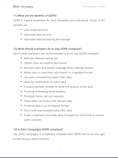#### 11) What are the benefits of GDPR?

GDPR is a good movement for both marketers and individuals. Some of the benefits are

- User empowerment
- Improved data security
- Improved data processing and storage

#### 12) What should marketers do to stay GDPR compliant?

Here's what marketers are recommended to do to stay GDPR compliant.

- Maintain filtered mailing lists
- Obtain clear and explicit permission
- Maintain plain and simple language while seeking consent
- Allow users to view their information in a readable format
- Let users conveniently export their data
- Allow for rectification of users' data
- Conduct periodic reviews to verify the veracity of the data
- Avoiding misleading email headers
- Promptly honor opt-out requests
- Only collect necessary and relevant data
- Preserve data in an encrypted format
- Don't hold unprocessed subscriber data
- Erase consented subscriber data if unused for more than 6 months (with consent)

#### 13) Is Zoho Campaigns GDPR compliant?

Yes, Zoho Campaigns is completely compliant with GDPR. We honor the right to data privacy and protection.